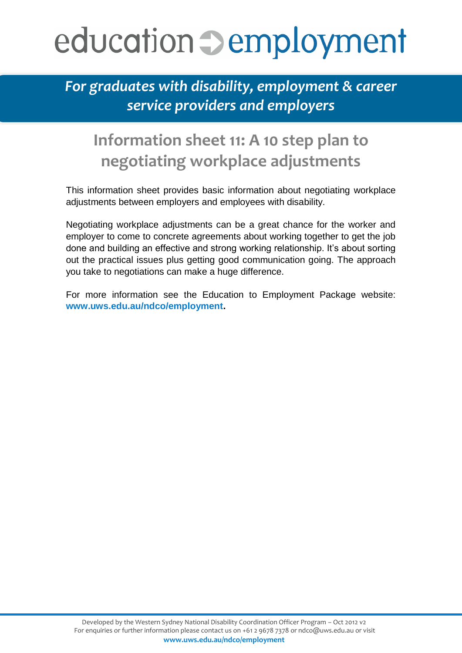## education  $\supset$  employment

*For graduates with disability, employment & career service providers and employers* 

## **Information sheet 11: A 10 step plan to negotiating workplace adjustments**

This information sheet provides basic information about negotiating workplace adjustments between employers and employees with disability.

Negotiating workplace adjustments can be a great chance for the worker and employer to come to concrete agreements about working together to get the job done and building an effective and strong working relationship. It's about sorting out the practical issues plus getting good communication going. The approach you take to negotiations can make a huge difference.

For more information see the Education to Employment Package website: **[www.uws.edu.au/ndco/employment.](http://pubsites.uws.edu.au/ndco/employment/)**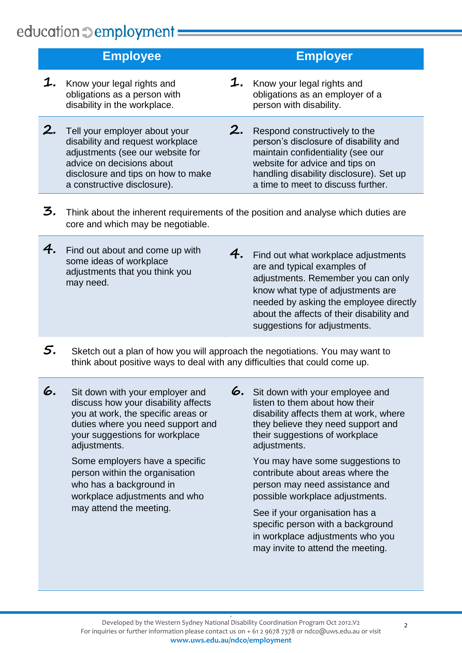## education **Demployment** =

|    | <b>Employee</b>                                                                                                                                                                                         |    | <b>Employer</b>                                                                                                                                                                                                                |
|----|---------------------------------------------------------------------------------------------------------------------------------------------------------------------------------------------------------|----|--------------------------------------------------------------------------------------------------------------------------------------------------------------------------------------------------------------------------------|
|    | Know your legal rights and<br>obligations as a person with<br>disability in the workplace.                                                                                                              | 1. | Know your legal rights and<br>obligations as an employer of a<br>person with disability.                                                                                                                                       |
| 2. | Tell your employer about your<br>disability and request workplace<br>adjustments (see our website for<br>advice on decisions about<br>disclosure and tips on how to make<br>a constructive disclosure). | 2. | Respond constructively to the<br>person's disclosure of disability and<br>maintain confidentiality (see our<br>website for advice and tips on<br>handling disability disclosure). Set up<br>a time to meet to discuss further. |
|    |                                                                                                                                                                                                         |    |                                                                                                                                                                                                                                |

- **3.** Think about the inherent requirements of the position and analyse which duties are core and which may be negotiable.
- **4.** Find out about and come up with some ideas of workplace adjustments that you think you may need.
- **4.** Find out what workplace adjustments are and typical examples of adjustments. Remember you can only know what type of adjustments are needed by asking the employee directly about the affects of their disability and suggestions for adjustments.
- **5.** Sketch out <sup>a</sup> plan of how you will approach the negotiations. You may want to think about positive ways to deal with any difficulties that could come up.
- **6.** Sit down with your employer and discuss how your disability affects you at work, the specific areas or duties where you need support and your suggestions for workplace adiustments.

Some employers have a specific person within the organisation who has a background in workplace adjustments and who may attend the meeting.

**6.** Sit down with your employee and listen to them about how their disability affects them at work, where they believe they need support and their suggestions of workplace adiustments.

> You may have some suggestions to contribute about areas where the person may need assistance and possible workplace adjustments.

See if your organisation has a specific person with a background in workplace adjustments who you may invite to attend the meeting.